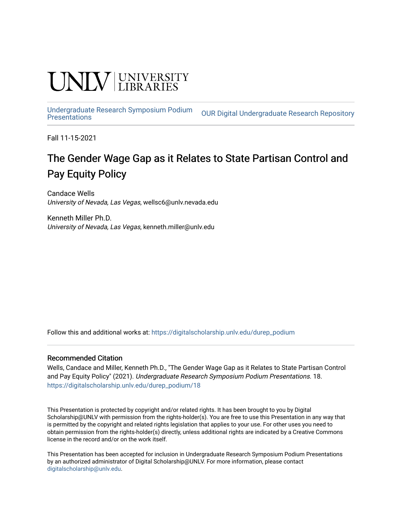## UNIV UNIVERSITY

[Undergraduate Research Symposium Podium](https://digitalscholarship.unlv.edu/durep_podium)

**OUR Digital Undergraduate Research Repository** 

Fall 11-15-2021

#### The Gender Wage Gap as it Relates to State Partisan Control and Pay Equity Policy

Candace Wells University of Nevada, Las Vegas, wellsc6@unlv.nevada.edu

Kenneth Miller Ph.D. University of Nevada, Las Vegas, kenneth.miller@unlv.edu

Follow this and additional works at: [https://digitalscholarship.unlv.edu/durep\\_podium](https://digitalscholarship.unlv.edu/durep_podium?utm_source=digitalscholarship.unlv.edu%2Fdurep_podium%2F18&utm_medium=PDF&utm_campaign=PDFCoverPages)

#### Recommended Citation

Wells, Candace and Miller, Kenneth Ph.D., "The Gender Wage Gap as it Relates to State Partisan Control and Pay Equity Policy" (2021). Undergraduate Research Symposium Podium Presentations. 18. [https://digitalscholarship.unlv.edu/durep\\_podium/18](https://digitalscholarship.unlv.edu/durep_podium/18?utm_source=digitalscholarship.unlv.edu%2Fdurep_podium%2F18&utm_medium=PDF&utm_campaign=PDFCoverPages) 

This Presentation is protected by copyright and/or related rights. It has been brought to you by Digital Scholarship@UNLV with permission from the rights-holder(s). You are free to use this Presentation in any way that is permitted by the copyright and related rights legislation that applies to your use. For other uses you need to obtain permission from the rights-holder(s) directly, unless additional rights are indicated by a Creative Commons license in the record and/or on the work itself.

This Presentation has been accepted for inclusion in Undergraduate Research Symposium Podium Presentations by an authorized administrator of Digital Scholarship@UNLV. For more information, please contact [digitalscholarship@unlv.edu](mailto:digitalscholarship@unlv.edu).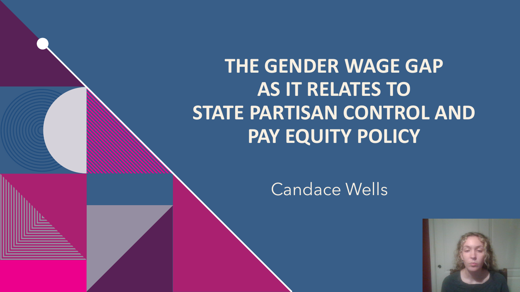## **THE GENDER WAGE GAP AS IT RELATES TO STATE PARTISAN CONTROL AND PAY EQUITY POLICY**

#### Candace Wells

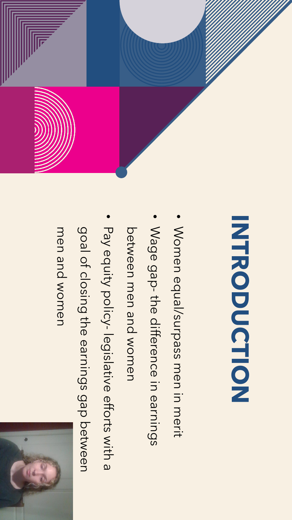

# INTRODUCTION **INTRODUCTION**

- Women equal/surpass men in merit Women equal/surpass men in merit
- Wage gap-the difference in earnings Wage gap the difference in earnings
- Detween men and Women between men and women
- Pay equity policy legislative efforts with a
- goal of closing the earnings gap between
- 
- goal of closing the earnings gap between

men and women men and women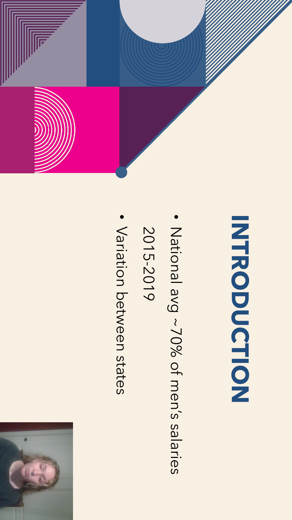

- Mational avg ~70% of men's salaries National avg ~70% of men's salaries
- 2015-2019
- Variation between states Variation between states

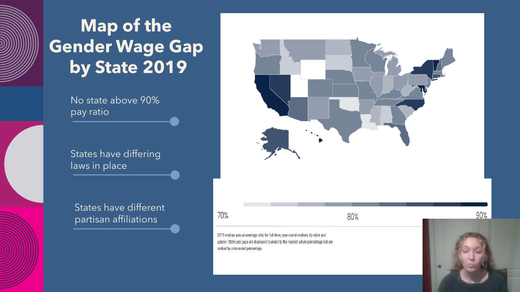### **Map of the Gender Wage Gap by State 2019**

No state above 90% pay ratio

States have differing laws in place

States have different partisan affiliations 70%

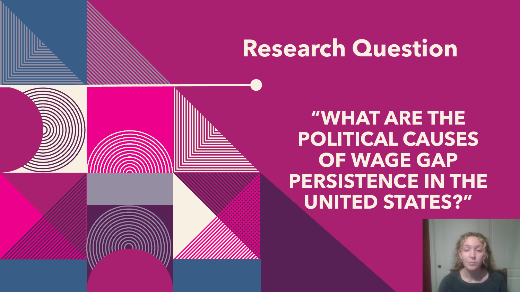## **Research Question**

**"WHAT ARE THE POLITICAL CAUSES OF WAGE GAP PERSISTENCE IN THE UNITED STATES?"**

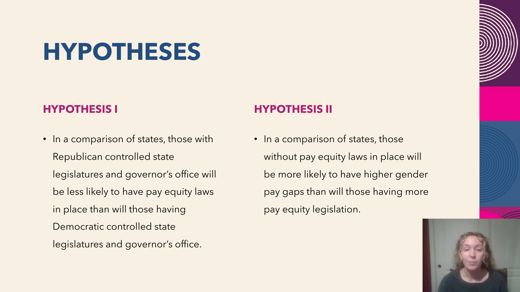## **HYPOTHESES**

#### **HYPOTHESIS I**

• In a comparison of states, those with Republican controlled state legislatures and governor's office will be less likely to have pay equity laws in place than will those having Democratic controlled state legislatures and governor's office.

#### **HYPOTHESIS II**

• In a comparison of states, those without pay equity laws in place will be more likely to have higher gender pay gaps than will those having more pay equity legislation.

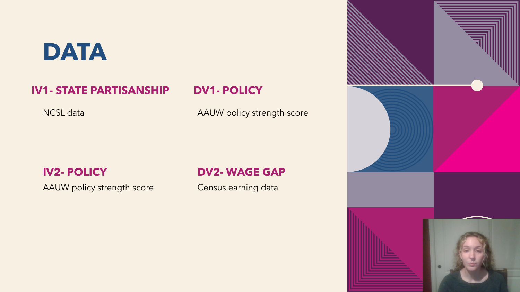## **DATA**

#### **IV1- STATE PARTISANSHIP**

NCSL data

#### **DV1- POLICY**

AAUW policy strength score

#### **IV2- POLICY**

AAUW policy strength score

#### **DV2- WAGE GAP**

Census earning data

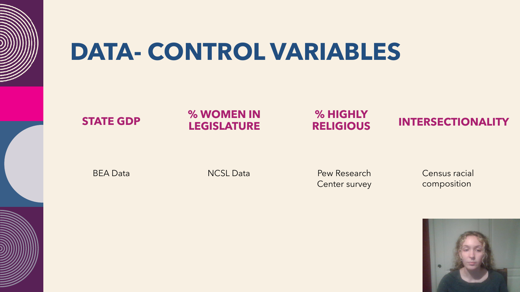

## **DATA- CONTROL VARIABLES**

#### **STATE GDP**

**% WOMEN IN LEGISLATURE**

#### **% HIGHLY RELIGIOUS**

#### **INTERSECTIONALITY**

BEA Data

NCSL Data

Pew Research Center survey Census racial composition

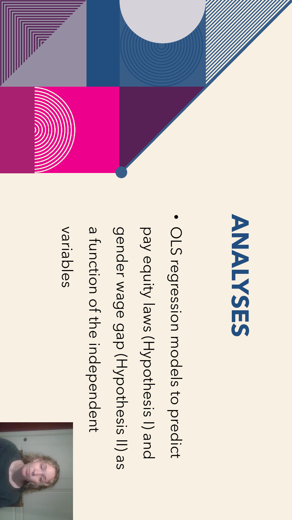

variables

- a function of the independent a function of the independent
- gender wage gap (Hypothesis II) as gender wage gap (Hypothesis II) as
- pay equity laws (Hypothesis I) and pay equity laws (Hypothesis I) and
- OLS regression models to predict OLS regression models to predict
- **ANALYSES** ANALIZES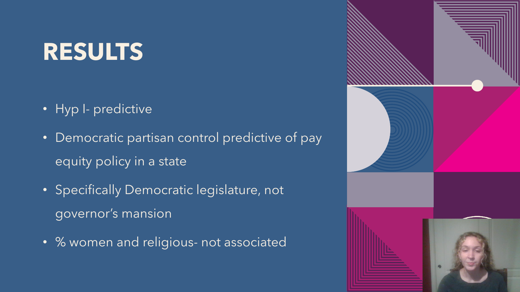## **RESULTS**

- Hyp I- predictive
- Democratic partisan control predictive of pay equity policy in a state
- Specifically Democratic legislature, not governor's mansion
- % women and religious- not associated

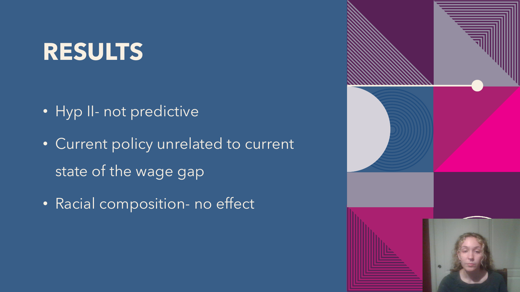## **RESULTS**

- Hyp II- not predictive
- Current policy unrelated to current state of the wage gap
- Racial composition- no effect

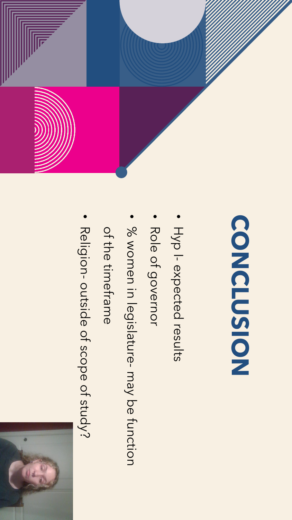

## COISNASION **CONCLUSION**

- Hyp  $\overline{1}$ expected results
- · Role of governor Role of governor
- · % women in legislature-may be function % women in legislature may be function
- of the timeframe of the timeframe
- Religion outside of scope of study?